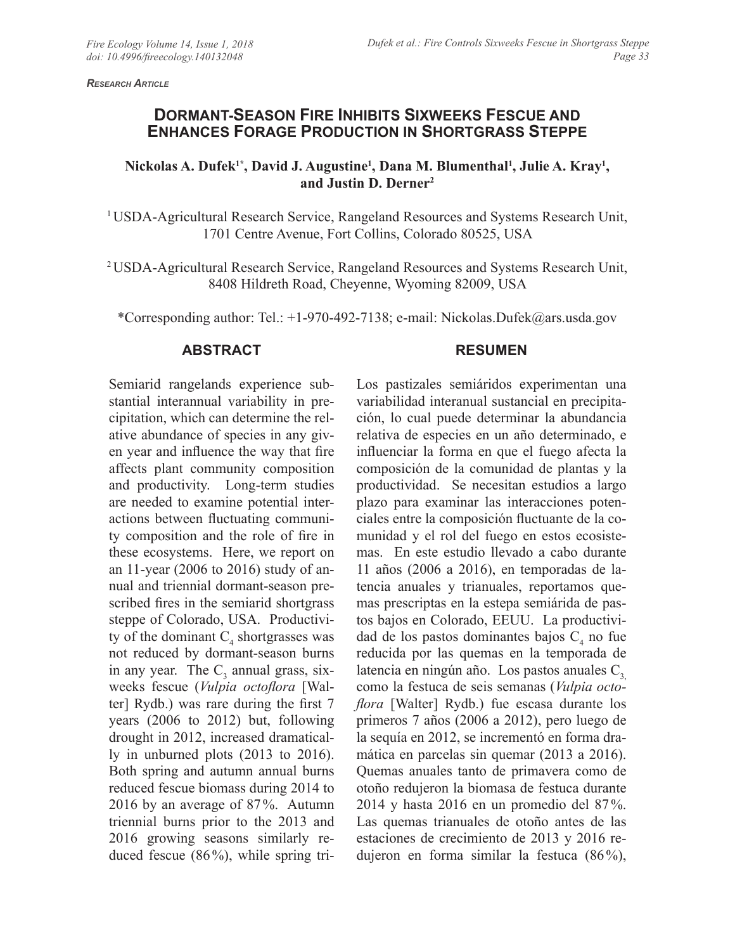*Research Article*

# **DORMANT-SEASON FIRE INHIBITS SIXWEEKS FESCUE AND ENHANCES FORAGE PRODUCTION IN SHORTGRASS STEPPE**

#### Nickolas A. Dufek<sup>1\*</sup>, David J. Augustine<sup>1</sup>, Dana M. Blumenthal<sup>1</sup>, Julie A. Kray<sup>1</sup>, **and Justin D. Derner2**

<sup>1</sup> USDA-Agricultural Research Service, Rangeland Resources and Systems Research Unit, 1701 Centre Avenue, Fort Collins, Colorado 80525, USA

2 USDA-Agricultural Research Service, Rangeland Resources and Systems Research Unit, 8408 Hildreth Road, Cheyenne, Wyoming 82009, USA

\*Corresponding author: Tel.: +1-970-492-7138; e-mail: Nickolas.Dufek@ars.usda.gov

#### **ABSTRACT**

### **RESUMEN**

Semiarid rangelands experience substantial interannual variability in precipitation, which can determine the relative abundance of species in any given year and influence the way that fire affects plant community composition and productivity. Long-term studies are needed to examine potential interactions between fluctuating community composition and the role of fire in these ecosystems. Here, we report on an 11-year (2006 to 2016) study of annual and triennial dormant-season prescribed fires in the semiarid shortgrass steppe of Colorado, USA. Productivity of the dominant  $C_4$  shortgrasses was not reduced by dormant-season burns in any year. The  $C_3$  annual grass, sixweeks fescue (*Vulpia octoflora* [Walter] Rydb.) was rare during the first 7 years (2006 to 2012) but, following drought in 2012, increased dramatically in unburned plots (2013 to 2016). Both spring and autumn annual burns reduced fescue biomass during 2014 to 2016 by an average of 87%. Autumn triennial burns prior to the 2013 and 2016 growing seasons similarly reduced fescue (86%), while spring tri-

Los pastizales semiáridos experimentan una variabilidad interanual sustancial en precipitación, lo cual puede determinar la abundancia relativa de especies en un año determinado, e influenciar la forma en que el fuego afecta la composición de la comunidad de plantas y la productividad. Se necesitan estudios a largo plazo para examinar las interacciones potenciales entre la composición fluctuante de la comunidad y el rol del fuego en estos ecosistemas. En este estudio llevado a cabo durante 11 años (2006 a 2016), en temporadas de latencia anuales y trianuales, reportamos quemas prescriptas en la estepa semiárida de pastos bajos en Colorado, EEUU. La productividad de los pastos dominantes bajos  $C_4$  no fue reducida por las quemas en la temporada de latencia en ningún año. Los pastos anuales  $C_3$ como la festuca de seis semanas (*Vulpia octoflora* [Walter] Rydb.) fue escasa durante los primeros 7 años (2006 a 2012), pero luego de la sequía en 2012, se incrementó en forma dramática en parcelas sin quemar (2013 a 2016). Quemas anuales tanto de primavera como de otoño redujeron la biomasa de festuca durante 2014 y hasta 2016 en un promedio del 87%. Las quemas trianuales de otoño antes de las estaciones de crecimiento de 2013 y 2016 redujeron en forma similar la festuca (86%),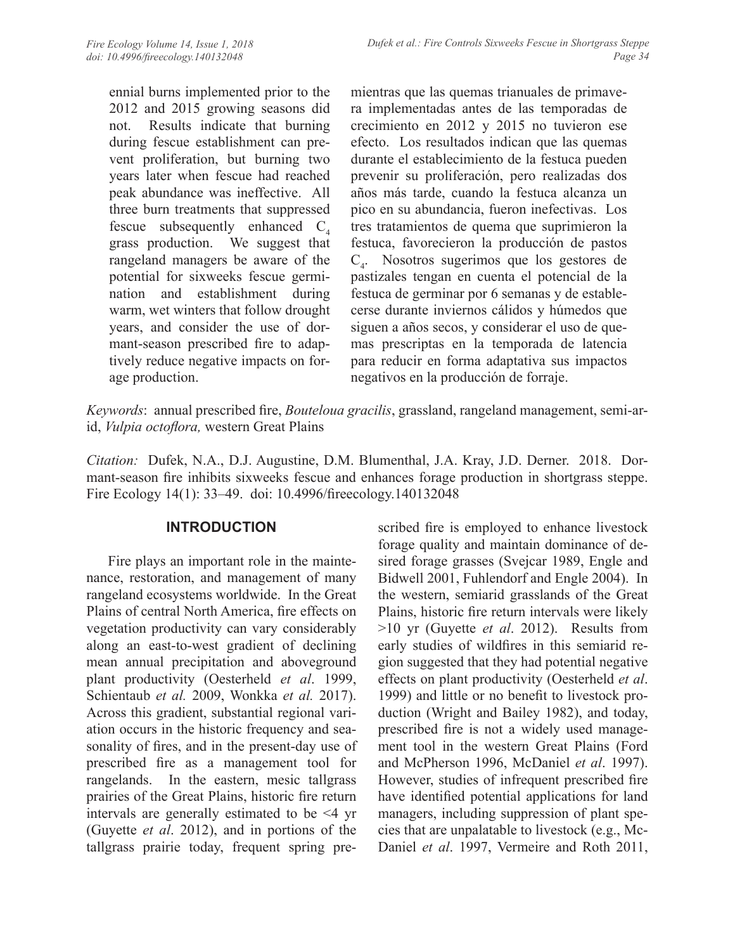ennial burns implemented prior to the 2012 and 2015 growing seasons did not. Results indicate that burning during fescue establishment can prevent proliferation, but burning two years later when fescue had reached peak abundance was ineffective. All three burn treatments that suppressed fescue subsequently enhanced  $C<sub>4</sub>$ grass production. We suggest that rangeland managers be aware of the potential for sixweeks fescue germination and establishment during warm, wet winters that follow drought years, and consider the use of dormant-season prescribed fire to adaptively reduce negative impacts on forage production.

mientras que las quemas trianuales de primavera implementadas antes de las temporadas de crecimiento en 2012 y 2015 no tuvieron ese efecto. Los resultados indican que las quemas durante el establecimiento de la festuca pueden prevenir su proliferación, pero realizadas dos años más tarde, cuando la festuca alcanza un pico en su abundancia, fueron inefectivas. Los tres tratamientos de quema que suprimieron la festuca, favorecieron la producción de pastos C4 . Nosotros sugerimos que los gestores de pastizales tengan en cuenta el potencial de la festuca de germinar por 6 semanas y de establecerse durante inviernos cálidos y húmedos que siguen a años secos, y considerar el uso de quemas prescriptas en la temporada de latencia para reducir en forma adaptativa sus impactos negativos en la producción de forraje.

*Keywords*: annual prescribed fire, *Bouteloua gracilis*, grassland, rangeland management, semi-arid, *Vulpia octoflora,* western Great Plains

*Citation:* Dufek, N.A., D.J. Augustine, D.M. Blumenthal, J.A. Kray, J.D. Derner. 2018. Dormant-season fire inhibits sixweeks fescue and enhances forage production in shortgrass steppe. Fire Ecology 14(1): 33–49. doi: 10.4996/fireecology.140132048

# **INTRODUCTION**

Fire plays an important role in the maintenance, restoration, and management of many rangeland ecosystems worldwide. In the Great Plains of central North America, fire effects on vegetation productivity can vary considerably along an east-to-west gradient of declining mean annual precipitation and aboveground plant productivity (Oesterheld *et al*. 1999, Schientaub *et al.* 2009, Wonkka *et al.* 2017). Across this gradient, substantial regional variation occurs in the historic frequency and seasonality of fires, and in the present-day use of prescribed fire as a management tool for rangelands. In the eastern, mesic tallgrass prairies of the Great Plains, historic fire return intervals are generally estimated to be <4 yr (Guyette *et al*. 2012), and in portions of the tallgrass prairie today, frequent spring prescribed fire is employed to enhance livestock forage quality and maintain dominance of desired forage grasses (Svejcar 1989, Engle and Bidwell 2001, Fuhlendorf and Engle 2004). In the western, semiarid grasslands of the Great Plains, historic fire return intervals were likely >10 yr (Guyette *et al*. 2012). Results from early studies of wildfires in this semiarid region suggested that they had potential negative effects on plant productivity (Oesterheld *et al*. 1999) and little or no benefit to livestock production (Wright and Bailey 1982), and today, prescribed fire is not a widely used management tool in the western Great Plains (Ford and McPherson 1996, McDaniel *et al*. 1997). However, studies of infrequent prescribed fire have identified potential applications for land managers, including suppression of plant species that are unpalatable to livestock (e.g., Mc-Daniel *et al*. 1997, Vermeire and Roth 2011,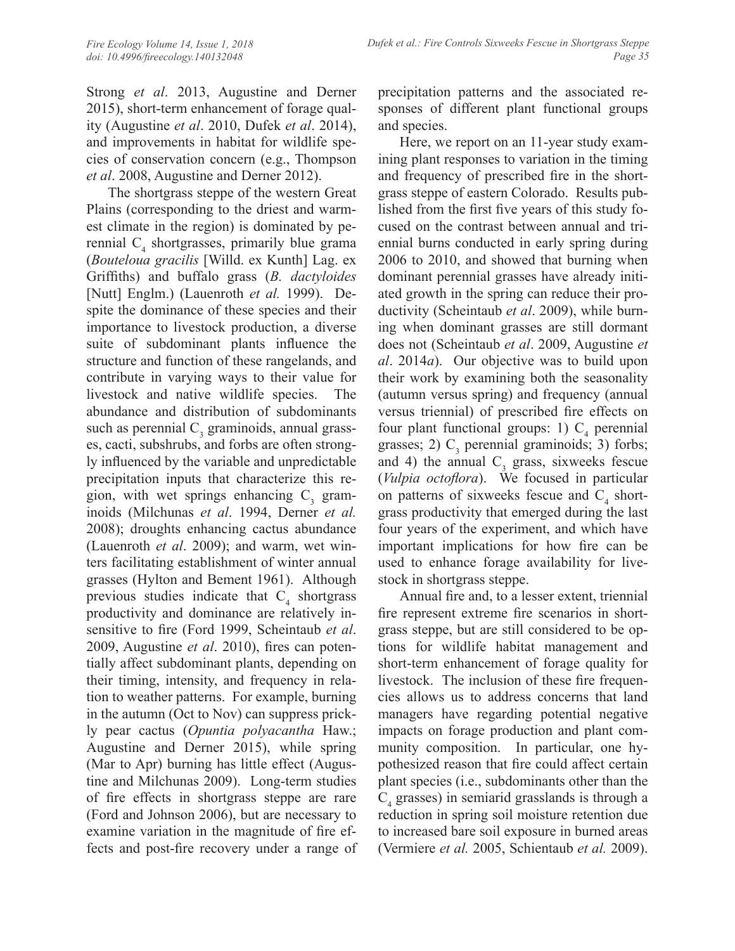Strong *et al*. 2013, Augustine and Derner 2015), short-term enhancement of forage quality (Augustine *et al*. 2010, Dufek *et al*. 2014), and improvements in habitat for wildlife species of conservation concern (e.g., Thompson *et al*. 2008, Augustine and Derner 2012).

The shortgrass steppe of the western Great Plains (corresponding to the driest and warmest climate in the region) is dominated by perennial  $C_4$  shortgrasses, primarily blue grama (*Bouteloua gracilis* [Willd. ex Kunth] Lag. ex Griffiths) and buffalo grass (*B. dactyloides*  [Nutt] Englm.) (Lauenroth *et al.* 1999). Despite the dominance of these species and their importance to livestock production, a diverse suite of subdominant plants influence the structure and function of these rangelands, and contribute in varying ways to their value for livestock and native wildlife species. The abundance and distribution of subdominants such as perennial  $C_3$  graminoids, annual grasses, cacti, subshrubs, and forbs are often strongly influenced by the variable and unpredictable precipitation inputs that characterize this region, with wet springs enhancing  $C_3$  graminoids (Milchunas *et al*. 1994, Derner *et al.*  2008); droughts enhancing cactus abundance (Lauenroth *et al*. 2009); and warm, wet winters facilitating establishment of winter annual grasses (Hylton and Bement 1961). Although previous studies indicate that  $C_4$  shortgrass productivity and dominance are relatively insensitive to fire (Ford 1999, Scheintaub *et al*. 2009, Augustine *et al*. 2010), fires can potentially affect subdominant plants, depending on their timing, intensity, and frequency in relation to weather patterns. For example, burning in the autumn (Oct to Nov) can suppress prickly pear cactus (*Opuntia polyacantha* Haw.; Augustine and Derner 2015), while spring (Mar to Apr) burning has little effect (Augustine and Milchunas 2009). Long-term studies of fire effects in shortgrass steppe are rare (Ford and Johnson 2006), but are necessary to examine variation in the magnitude of fire effects and post-fire recovery under a range of

precipitation patterns and the associated responses of different plant functional groups and species.

Here, we report on an 11-year study examining plant responses to variation in the timing and frequency of prescribed fire in the shortgrass steppe of eastern Colorado. Results published from the first five years of this study focused on the contrast between annual and triennial burns conducted in early spring during 2006 to 2010, and showed that burning when dominant perennial grasses have already initiated growth in the spring can reduce their productivity (Scheintaub *et al*. 2009), while burning when dominant grasses are still dormant does not (Scheintaub *et al*. 2009, Augustine *et al*. 2014*a*). Our objective was to build upon their work by examining both the seasonality (autumn versus spring) and frequency (annual versus triennial) of prescribed fire effects on four plant functional groups: 1)  $C_4$  perennial grasses; 2)  $C_3$  perennial graminoids; 3) forbs; and 4) the annual  $C_3$  grass, sixweeks fescue (*Vulpia octoflora*). We focused in particular on patterns of sixweeks fescue and  $C_4$  shortgrass productivity that emerged during the last four years of the experiment, and which have important implications for how fire can be used to enhance forage availability for livestock in shortgrass steppe.

Annual fire and, to a lesser extent, triennial fire represent extreme fire scenarios in shortgrass steppe, but are still considered to be options for wildlife habitat management and short-term enhancement of forage quality for livestock. The inclusion of these fire frequencies allows us to address concerns that land managers have regarding potential negative impacts on forage production and plant community composition. In particular, one hypothesized reason that fire could affect certain plant species (i.e., subdominants other than the  $C_4$  grasses) in semiarid grasslands is through a reduction in spring soil moisture retention due to increased bare soil exposure in burned areas (Vermiere *et al.* 2005, Schientaub *et al.* 2009).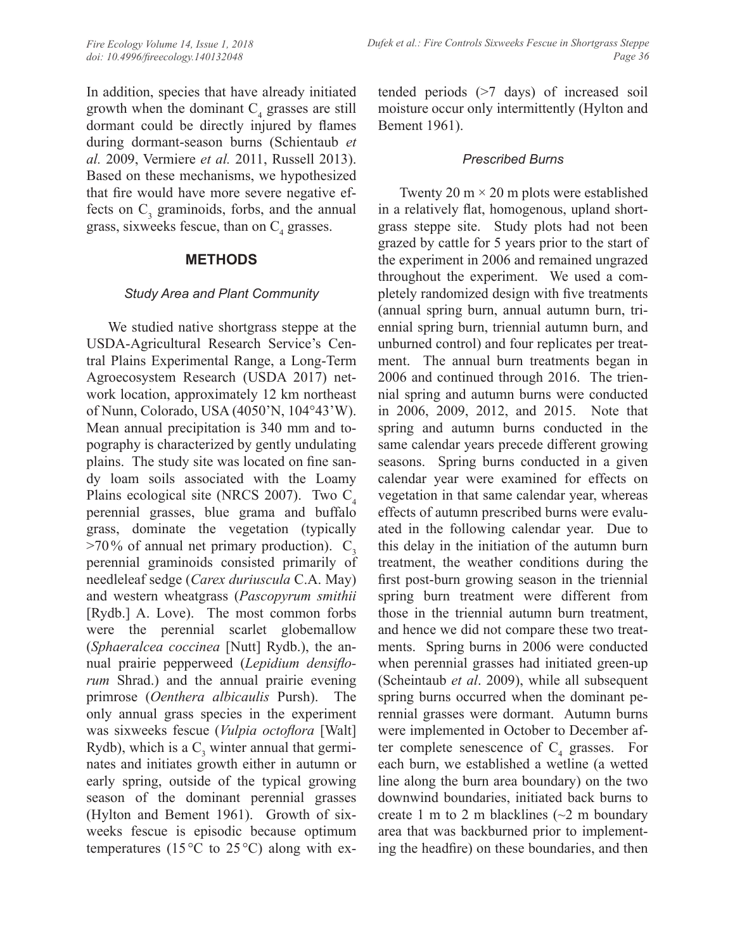In addition, species that have already initiated growth when the dominant  $C_4$  grasses are still dormant could be directly injured by flames during dormant-season burns (Schientaub *et al.* 2009, Vermiere *et al.* 2011, Russell 2013). Based on these mechanisms, we hypothesized that fire would have more severe negative effects on  $C_3$  graminoids, forbs, and the annual grass, sixweeks fescue, than on  $C_4$  grasses.

### **METHODS**

### *Study Area and Plant Community*

We studied native shortgrass steppe at the USDA-Agricultural Research Service's Central Plains Experimental Range, a Long-Term Agroecosystem Research (USDA 2017) network location, approximately 12 km northeast of Nunn, Colorado, USA (4050'N, 104°43'W). Mean annual precipitation is 340 mm and topography is characterized by gently undulating plains. The study site was located on fine sandy loam soils associated with the Loamy Plains ecological site (NRCS 2007). Two  $C_4$ perennial grasses, blue grama and buffalo grass, dominate the vegetation (typically  $>70\%$  of annual net primary production).  $C_3$ perennial graminoids consisted primarily of needleleaf sedge (*Carex duriuscula* C.A. May) and western wheatgrass (*Pascopyrum smithii*  [Rydb.] A. Love). The most common forbs were the perennial scarlet globemallow (*Sphaeralcea coccinea* [Nutt] Rydb.), the annual prairie pepperweed (*Lepidium densiflorum* Shrad.) and the annual prairie evening primrose (*Oenthera albicaulis* Pursh). The only annual grass species in the experiment was sixweeks fescue (*Vulpia octoflora* [Walt] Rydb), which is a  $C_3$  winter annual that germinates and initiates growth either in autumn or early spring, outside of the typical growing season of the dominant perennial grasses (Hylton and Bement 1961). Growth of sixweeks fescue is episodic because optimum temperatures (15 $\degree$ C to 25 $\degree$ C) along with extended periods (>7 days) of increased soil moisture occur only intermittently (Hylton and Bement 1961).

#### *Prescribed Burns*

Twenty 20 m  $\times$  20 m plots were established in a relatively flat, homogenous, upland shortgrass steppe site. Study plots had not been grazed by cattle for 5 years prior to the start of the experiment in 2006 and remained ungrazed throughout the experiment. We used a completely randomized design with five treatments (annual spring burn, annual autumn burn, triennial spring burn, triennial autumn burn, and unburned control) and four replicates per treatment. The annual burn treatments began in 2006 and continued through 2016. The triennial spring and autumn burns were conducted in 2006, 2009, 2012, and 2015. Note that spring and autumn burns conducted in the same calendar years precede different growing seasons. Spring burns conducted in a given calendar year were examined for effects on vegetation in that same calendar year, whereas effects of autumn prescribed burns were evaluated in the following calendar year. Due to this delay in the initiation of the autumn burn treatment, the weather conditions during the first post-burn growing season in the triennial spring burn treatment were different from those in the triennial autumn burn treatment, and hence we did not compare these two treatments. Spring burns in 2006 were conducted when perennial grasses had initiated green-up (Scheintaub *et al*. 2009), while all subsequent spring burns occurred when the dominant perennial grasses were dormant. Autumn burns were implemented in October to December after complete senescence of  $C_4$  grasses. For each burn, we established a wetline (a wetted line along the burn area boundary) on the two downwind boundaries, initiated back burns to create 1 m to 2 m blacklines  $(\sim 2$  m boundary area that was backburned prior to implementing the headfire) on these boundaries, and then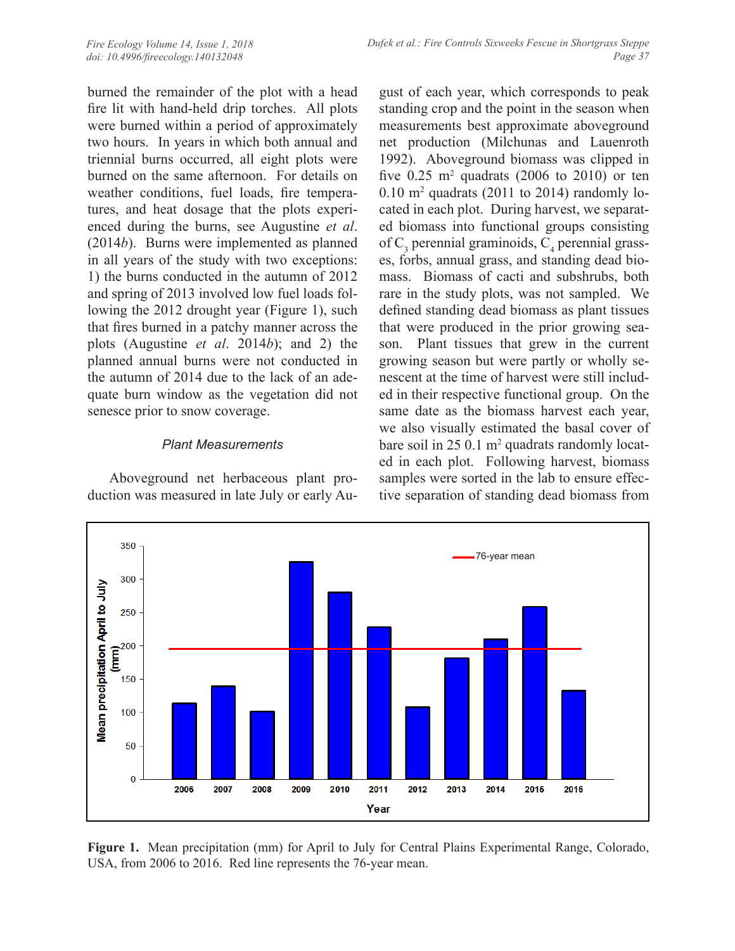burned the remainder of the plot with a head fire lit with hand-held drip torches. All plots were burned within a period of approximately two hours. In years in which both annual and triennial burns occurred, all eight plots were burned on the same afternoon. For details on weather conditions, fuel loads, fire temperatures, and heat dosage that the plots experienced during the burns, see Augustine *et al*. (2014*b*). Burns were implemented as planned in all years of the study with two exceptions: 1) the burns conducted in the autumn of 2012 and spring of 2013 involved low fuel loads following the 2012 drought year (Figure 1), such that fires burned in a patchy manner across the plots (Augustine *et al*. 2014*b*); and 2) the planned annual burns were not conducted in the autumn of 2014 due to the lack of an adequate burn window as the vegetation did not senesce prior to snow coverage.

# *Plant Measurements*

Aboveground net herbaceous plant production was measured in late July or early August of each year, which corresponds to peak standing crop and the point in the season when measurements best approximate aboveground net production (Milchunas and Lauenroth 1992). Aboveground biomass was clipped in five  $0.25$  m<sup>2</sup> quadrats (2006 to 2010) or ten 0.10 m2 quadrats (2011 to 2014) randomly located in each plot. During harvest, we separated biomass into functional groups consisting of  $C_3$  perennial graminoids,  $C_4$  perennial grasses, forbs, annual grass, and standing dead biomass. Biomass of cacti and subshrubs, both rare in the study plots, was not sampled. We defined standing dead biomass as plant tissues that were produced in the prior growing season. Plant tissues that grew in the current growing season but were partly or wholly senescent at the time of harvest were still included in their respective functional group. On the same date as the biomass harvest each year, we also visually estimated the basal cover of bare soil in 25 0.1 m<sup>2</sup> quadrats randomly located in each plot. Following harvest, biomass samples were sorted in the lab to ensure effective separation of standing dead biomass from



**Figure 1.** Mean precipitation (mm) for April to July for Central Plains Experimental Range, Colorado, USA, from 2006 to 2016. Red line represents the 76-year mean.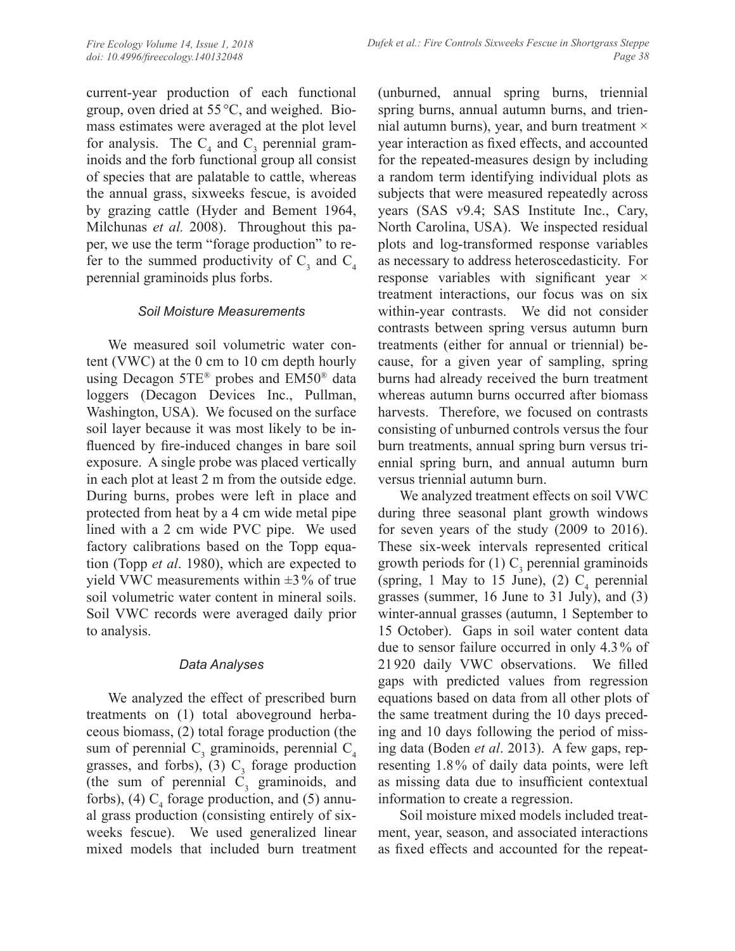current-year production of each functional group, oven dried at 55 °C, and weighed. Biomass estimates were averaged at the plot level for analysis. The  $C_4$  and  $C_3$  perennial graminoids and the forb functional group all consist of species that are palatable to cattle, whereas the annual grass, sixweeks fescue, is avoided by grazing cattle (Hyder and Bement 1964, Milchunas *et al.* 2008). Throughout this paper, we use the term "forage production" to refer to the summed productivity of  $C_3$  and  $C_4$ perennial graminoids plus forbs.

### *Soil Moisture Measurements*

We measured soil volumetric water content (VWC) at the 0 cm to 10 cm depth hourly using Decagon 5TE® probes and EM50® data loggers (Decagon Devices Inc., Pullman, Washington, USA). We focused on the surface soil layer because it was most likely to be influenced by fire-induced changes in bare soil exposure. A single probe was placed vertically in each plot at least 2 m from the outside edge. During burns, probes were left in place and protected from heat by a 4 cm wide metal pipe lined with a 2 cm wide PVC pipe. We used factory calibrations based on the Topp equation (Topp *et al*. 1980), which are expected to yield VWC measurements within  $\pm 3\%$  of true soil volumetric water content in mineral soils. Soil VWC records were averaged daily prior to analysis.

# *Data Analyses*

We analyzed the effect of prescribed burn treatments on (1) total aboveground herbaceous biomass, (2) total forage production (the sum of perennial  $C_3$  graminoids, perennial  $C_4$ grasses, and forbs), (3)  $C_3$  forage production (the sum of perennial  $C_3$  graminoids, and forbs), (4)  $C_4$  forage production, and (5) annual grass production (consisting entirely of sixweeks fescue). We used generalized linear mixed models that included burn treatment

(unburned, annual spring burns, triennial spring burns, annual autumn burns, and triennial autumn burns), year, and burn treatment  $\times$ year interaction as fixed effects, and accounted for the repeated-measures design by including a random term identifying individual plots as subjects that were measured repeatedly across years (SAS v9.4; SAS Institute Inc., Cary, North Carolina, USA). We inspected residual plots and log-transformed response variables as necessary to address heteroscedasticity. For response variables with significant year  $\times$ treatment interactions, our focus was on six within-year contrasts. We did not consider contrasts between spring versus autumn burn treatments (either for annual or triennial) because, for a given year of sampling, spring burns had already received the burn treatment whereas autumn burns occurred after biomass harvests. Therefore, we focused on contrasts consisting of unburned controls versus the four burn treatments, annual spring burn versus triennial spring burn, and annual autumn burn versus triennial autumn burn.

We analyzed treatment effects on soil VWC during three seasonal plant growth windows for seven years of the study (2009 to 2016). These six-week intervals represented critical growth periods for  $(1)$  C<sub>3</sub> perennial graminoids (spring, 1 May to 15 June), (2)  $C_4$  perennial grasses (summer, 16 June to 31 July), and (3) winter-annual grasses (autumn, 1 September to 15 October). Gaps in soil water content data due to sensor failure occurred in only 4.3% of 21 920 daily VWC observations. We filled gaps with predicted values from regression equations based on data from all other plots of the same treatment during the 10 days preceding and 10 days following the period of missing data (Boden *et al*. 2013). A few gaps, representing 1.8% of daily data points, were left as missing data due to insufficient contextual information to create a regression.

Soil moisture mixed models included treatment, year, season, and associated interactions as fixed effects and accounted for the repeat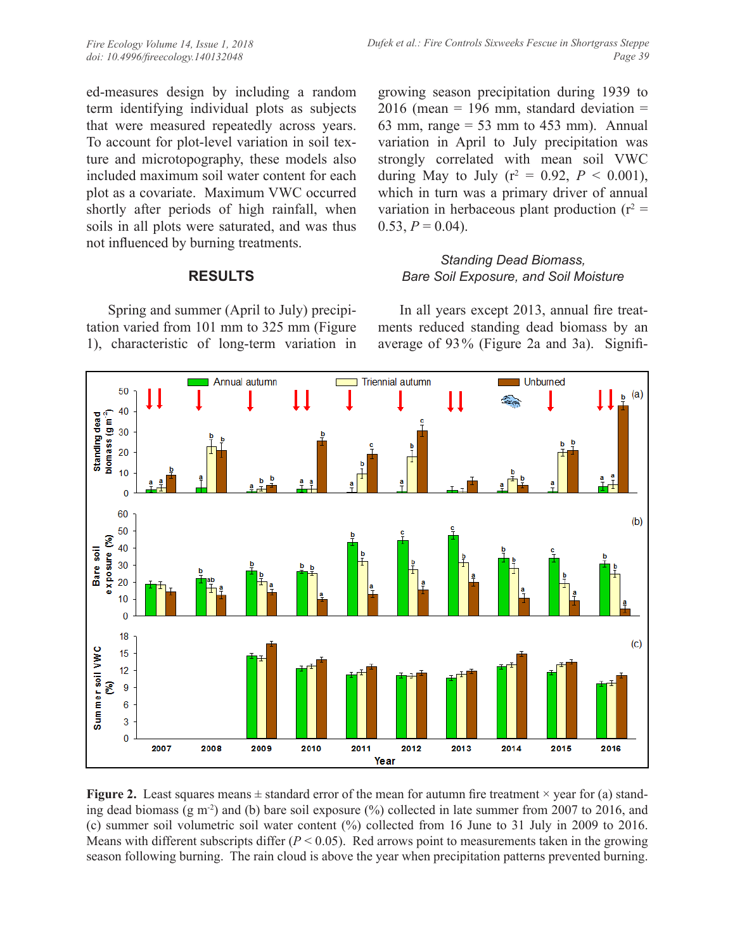ed-measures design by including a random term identifying individual plots as subjects that were measured repeatedly across years. To account for plot-level variation in soil texture and microtopography, these models also included maximum soil water content for each plot as a covariate. Maximum VWC occurred shortly after periods of high rainfall, when soils in all plots were saturated, and was thus not influenced by burning treatments.

# **RESULTS**

Spring and summer (April to July) precipitation varied from 101 mm to 325 mm (Figure 1), characteristic of long-term variation in growing season precipitation during 1939 to  $2016$  (mean = 196 mm, standard deviation = 63 mm, range  $= 53$  mm to 453 mm). Annual variation in April to July precipitation was strongly correlated with mean soil VWC during May to July ( $r^2 = 0.92$ ,  $P < 0.001$ ), which in turn was a primary driver of annual variation in herbaceous plant production ( $r^2 =$  $0.53, P = 0.04$ .

### *Standing Dead Biomass, Bare Soil Exposure, and Soil Moisture*

In all years except 2013, annual fire treatments reduced standing dead biomass by an average of 93% (Figure 2a and 3a). Signifi-



**Figure 2.** Least squares means  $\pm$  standard error of the mean for autumn fire treatment  $\times$  year for (a) standing dead biomass (g m<sup>-2</sup>) and (b) bare soil exposure  $\frac{9}{6}$  collected in late summer from 2007 to 2016, and (c) summer soil volumetric soil water content (%) collected from 16 June to 31 July in 2009 to 2016. Means with different subscripts differ  $(P < 0.05)$ . Red arrows point to measurements taken in the growing season following burning. The rain cloud is above the year when precipitation patterns prevented burning.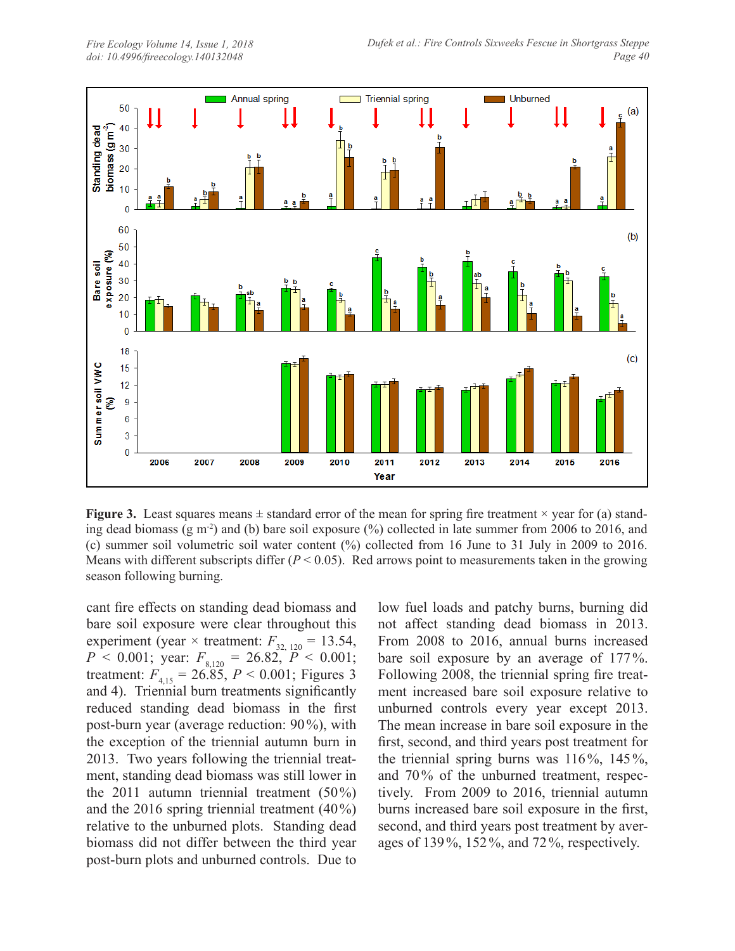

**Figure 3.** Least squares means  $\pm$  standard error of the mean for spring fire treatment  $\times$  year for (a) standing dead biomass (g m<sup>-2</sup>) and (b) bare soil exposure  $\frac{9}{6}$  collected in late summer from 2006 to 2016, and (c) summer soil volumetric soil water content (%) collected from 16 June to 31 July in 2009 to 2016. Means with different subscripts differ  $(P < 0.05)$ . Red arrows point to measurements taken in the growing season following burning.

cant fire effects on standing dead biomass and bare soil exposure were clear throughout this experiment (year  $\times$  treatment:  $F_{32, 120} = 13.54$ ,  $P < 0.001$ ; year:  $F_{8,120} = 26.82, P < 0.001$ ; treatment:  $F_{4,15} = 26.85$ ,  $P < 0.001$ ; Figures 3 and 4). Triennial burn treatments significantly reduced standing dead biomass in the first post-burn year (average reduction: 90%), with the exception of the triennial autumn burn in 2013. Two years following the triennial treatment, standing dead biomass was still lower in the 2011 autumn triennial treatment (50%) and the 2016 spring triennial treatment (40%) relative to the unburned plots. Standing dead biomass did not differ between the third year post-burn plots and unburned controls. Due to

low fuel loads and patchy burns, burning did not affect standing dead biomass in 2013. From 2008 to 2016, annual burns increased bare soil exposure by an average of 177%. Following 2008, the triennial spring fire treatment increased bare soil exposure relative to unburned controls every year except 2013. The mean increase in bare soil exposure in the first, second, and third years post treatment for the triennial spring burns was 116%, 145%, and 70% of the unburned treatment, respectively. From 2009 to 2016, triennial autumn burns increased bare soil exposure in the first, second, and third years post treatment by averages of 139%, 152%, and 72%, respectively.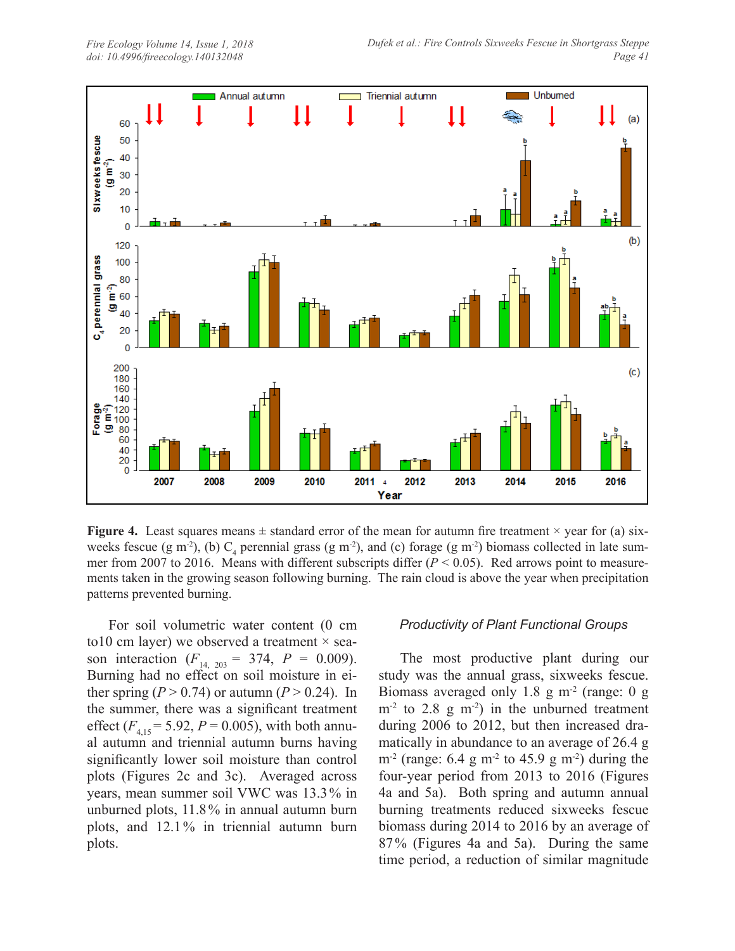

**Figure 4.** Least squares means  $\pm$  standard error of the mean for autumn fire treatment  $\times$  year for (a) sixweeks fescue (g m<sup>-2</sup>), (b)  $C_4$  perennial grass (g m<sup>-2</sup>), and (c) forage (g m<sup>-2</sup>) biomass collected in late summer from 2007 to 2016. Means with different subscripts differ  $(P < 0.05)$ . Red arrows point to measurements taken in the growing season following burning. The rain cloud is above the year when precipitation patterns prevented burning.

For soil volumetric water content (0 cm to 10 cm layer) we observed a treatment  $\times$  season interaction ( $F_{14, 203} = 374$ ,  $P = 0.009$ ). Burning had no effect on soil moisture in either spring  $(P > 0.74)$  or autumn  $(P > 0.24)$ . In the summer, there was a significant treatment effect  $(F_{4,15} = 5.92, P = 0.005)$ , with both annual autumn and triennial autumn burns having significantly lower soil moisture than control plots (Figures 2c and 3c). Averaged across years, mean summer soil VWC was 13.3% in unburned plots, 11.8% in annual autumn burn plots, and 12.1% in triennial autumn burn plots.

#### *Productivity of Plant Functional Groups*

The most productive plant during our study was the annual grass, sixweeks fescue. Biomass averaged only 1.8 g  $m<sup>2</sup>$  (range: 0 g  $m<sup>-2</sup>$  to 2.8 g m<sup>-2</sup>) in the unburned treatment during 2006 to 2012, but then increased dramatically in abundance to an average of 26.4 g  $m<sup>2</sup>$  (range: 6.4 g m<sup>-2</sup> to 45.9 g m<sup>-2</sup>) during the four-year period from 2013 to 2016 (Figures 4a and 5a). Both spring and autumn annual burning treatments reduced sixweeks fescue biomass during 2014 to 2016 by an average of 87% (Figures 4a and 5a). During the same time period, a reduction of similar magnitude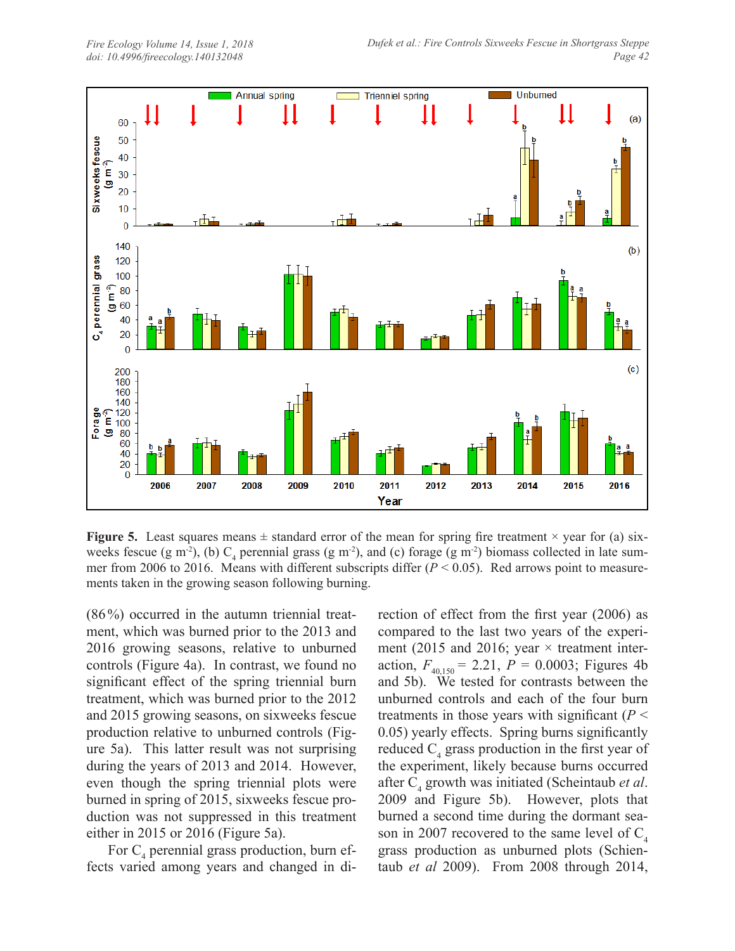

**Figure 5.** Least squares means  $\pm$  standard error of the mean for spring fire treatment  $\times$  year for (a) sixweeks fescue (g m<sup>-2</sup>), (b)  $C_4$  perennial grass (g m<sup>-2</sup>), and (c) forage (g m<sup>-2</sup>) biomass collected in late summer from 2006 to 2016. Means with different subscripts differ  $(P < 0.05)$ . Red arrows point to measurements taken in the growing season following burning.

(86%) occurred in the autumn triennial treatment, which was burned prior to the 2013 and 2016 growing seasons, relative to unburned controls (Figure 4a). In contrast, we found no significant effect of the spring triennial burn treatment, which was burned prior to the 2012 and 2015 growing seasons, on sixweeks fescue production relative to unburned controls (Figure 5a). This latter result was not surprising during the years of 2013 and 2014. However, even though the spring triennial plots were burned in spring of 2015, sixweeks fescue production was not suppressed in this treatment either in 2015 or 2016 (Figure 5a).

For  $C_4$  perennial grass production, burn effects varied among years and changed in di-

rection of effect from the first year (2006) as compared to the last two years of the experiment (2015 and 2016; year  $\times$  treatment interaction,  $F_{40,150} = 2.21$ ,  $P = 0.0003$ ; Figures 4b and 5b). We tested for contrasts between the unburned controls and each of the four burn treatments in those years with significant  $(P \leq$ 0.05) yearly effects. Spring burns significantly reduced  $C_4$  grass production in the first year of the experiment, likely because burns occurred after C<sub>4</sub> growth was initiated (Scheintaub *et al.*) 2009 and Figure 5b). However, plots that burned a second time during the dormant season in 2007 recovered to the same level of  $C_4$ grass production as unburned plots (Schientaub *et al* 2009). From 2008 through 2014,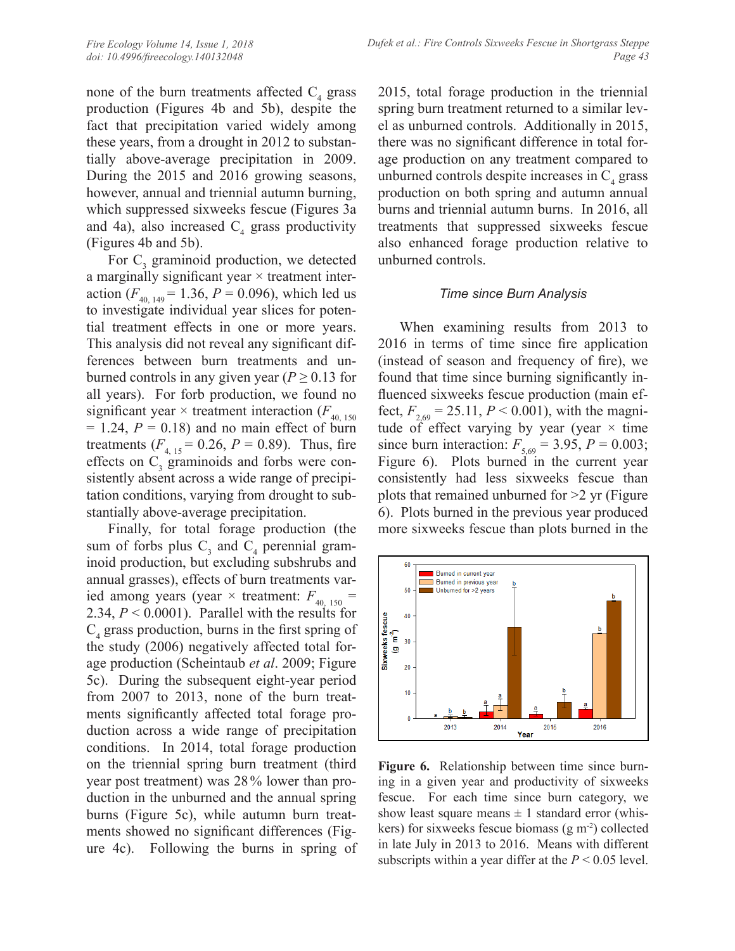none of the burn treatments affected  $C_4$  grass production (Figures 4b and 5b), despite the fact that precipitation varied widely among these years, from a drought in 2012 to substantially above-average precipitation in 2009. During the 2015 and 2016 growing seasons, however, annual and triennial autumn burning, which suppressed sixweeks fescue (Figures 3a and 4a), also increased  $C_4$  grass productivity (Figures 4b and 5b).

For  $C_3$  graminoid production, we detected a marginally significant year  $\times$  treatment interaction ( $F_{40, 149}$  = 1.36,  $P = 0.096$ ), which led us to investigate individual year slices for potential treatment effects in one or more years. This analysis did not reveal any significant differences between burn treatments and unburned controls in any given year ( $P \ge 0.13$  for all years). For forb production, we found no significant year  $\times$  treatment interaction ( $F_{40, 150}$ )  $= 1.24$ ,  $P = 0.18$ ) and no main effect of burn treatments  $(F_{4, 15} = 0.26, P = 0.89)$ . Thus, fire effects on  $C_3$  graminoids and forbs were consistently absent across a wide range of precipitation conditions, varying from drought to substantially above-average precipitation.

Finally, for total forage production (the sum of forbs plus  $C_3$  and  $C_4$  perennial graminoid production, but excluding subshrubs and annual grasses), effects of burn treatments varied among years (year  $\times$  treatment:  $F_{40, 150}$  = 2.34, *P* < 0.0001). Parallel with the results for  $C_4$  grass production, burns in the first spring of the study (2006) negatively affected total forage production (Scheintaub *et al*. 2009; Figure 5c). During the subsequent eight-year period from 2007 to 2013, none of the burn treatments significantly affected total forage production across a wide range of precipitation conditions. In 2014, total forage production on the triennial spring burn treatment (third year post treatment) was 28% lower than production in the unburned and the annual spring burns (Figure 5c), while autumn burn treatments showed no significant differences (Figure 4c). Following the burns in spring of 2015, total forage production in the triennial spring burn treatment returned to a similar level as unburned controls. Additionally in 2015, there was no significant difference in total forage production on any treatment compared to unburned controls despite increases in  $C_4$  grass production on both spring and autumn annual burns and triennial autumn burns. In 2016, all treatments that suppressed sixweeks fescue also enhanced forage production relative to unburned controls.

#### *Time since Burn Analysis*

When examining results from 2013 to 2016 in terms of time since fire application (instead of season and frequency of fire), we found that time since burning significantly influenced sixweeks fescue production (main effect,  $F_{2,69} = 25.11$ ,  $P < 0.001$ ), with the magnitude of effect varying by year (year  $\times$  time since burn interaction:  $F_{5,69} = 3.95, P = 0.003;$ Figure 6). Plots burned in the current year consistently had less sixweeks fescue than plots that remained unburned for  $>2$  yr (Figure 6). Plots burned in the previous year produced more sixweeks fescue than plots burned in the



**Figure 6.** Relationship between time since burning in a given year and productivity of sixweeks fescue. For each time since burn category, we show least square means  $\pm 1$  standard error (whiskers) for sixweeks fescue biomass  $(g m<sup>2</sup>)$  collected in late July in 2013 to 2016. Means with different subscripts within a year differ at the  $P < 0.05$  level.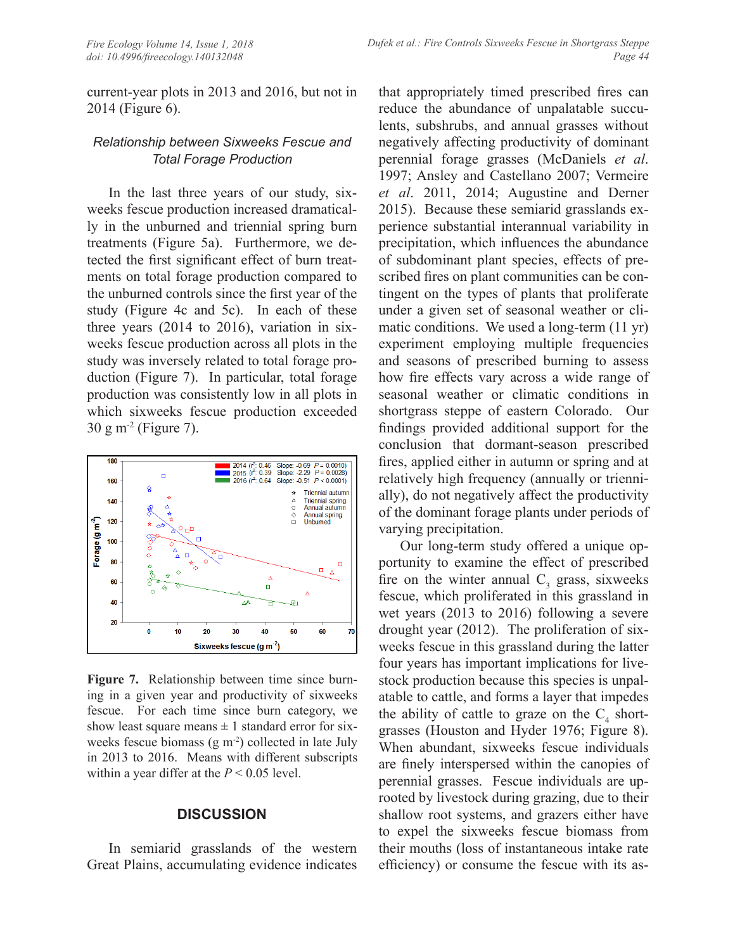current-year plots in 2013 and 2016, but not in 2014 (Figure 6).

# *Relationship between Sixweeks Fescue and Total Forage Production*

In the last three years of our study, sixweeks fescue production increased dramatically in the unburned and triennial spring burn treatments (Figure 5a). Furthermore, we detected the first significant effect of burn treatments on total forage production compared to the unburned controls since the first year of the study (Figure 4c and 5c). In each of these three years (2014 to 2016), variation in sixweeks fescue production across all plots in the study was inversely related to total forage production (Figure 7). In particular, total forage production was consistently low in all plots in which sixweeks fescue production exceeded 30 g m-2 (Figure 7).



**Figure 7.** Relationship between time since burning in a given year and productivity of sixweeks fescue. For each time since burn category, we show least square means  $\pm 1$  standard error for sixweeks fescue biomass  $(g m<sup>-2</sup>)$  collected in late July in 2013 to 2016. Means with different subscripts within a year differ at the *P* < 0.05 level.

# **DISCUSSION**

In semiarid grasslands of the western Great Plains, accumulating evidence indicates

that appropriately timed prescribed fires can reduce the abundance of unpalatable succulents, subshrubs, and annual grasses without negatively affecting productivity of dominant perennial forage grasses (McDaniels *et al*. 1997; Ansley and Castellano 2007; Vermeire *et al*. 2011, 2014; Augustine and Derner 2015). Because these semiarid grasslands experience substantial interannual variability in precipitation, which influences the abundance of subdominant plant species, effects of prescribed fires on plant communities can be contingent on the types of plants that proliferate under a given set of seasonal weather or climatic conditions. We used a long-term (11 yr) experiment employing multiple frequencies and seasons of prescribed burning to assess how fire effects vary across a wide range of seasonal weather or climatic conditions in shortgrass steppe of eastern Colorado. Our findings provided additional support for the conclusion that dormant-season prescribed fires, applied either in autumn or spring and at relatively high frequency (annually or triennially), do not negatively affect the productivity of the dominant forage plants under periods of varying precipitation.

Our long-term study offered a unique opportunity to examine the effect of prescribed fire on the winter annual  $C_3$  grass, sixweeks fescue, which proliferated in this grassland in wet years (2013 to 2016) following a severe drought year (2012). The proliferation of sixweeks fescue in this grassland during the latter four years has important implications for livestock production because this species is unpalatable to cattle, and forms a layer that impedes the ability of cattle to graze on the  $C_4$  shortgrasses (Houston and Hyder 1976; Figure 8). When abundant, sixweeks fescue individuals are finely interspersed within the canopies of perennial grasses. Fescue individuals are uprooted by livestock during grazing, due to their shallow root systems, and grazers either have to expel the sixweeks fescue biomass from their mouths (loss of instantaneous intake rate efficiency) or consume the fescue with its as-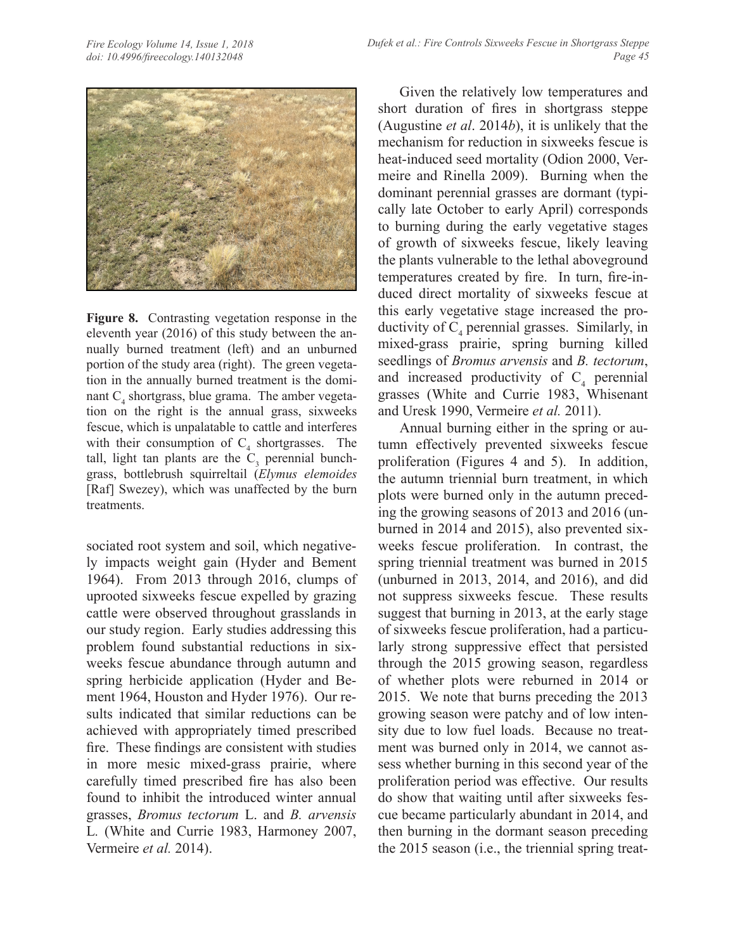

**Figure 8.** Contrasting vegetation response in the eleventh year (2016) of this study between the annually burned treatment (left) and an unburned portion of the study area (right). The green vegetation in the annually burned treatment is the dominant  $C_4$  shortgrass, blue grama. The amber vegetation on the right is the annual grass, sixweeks fescue, which is unpalatable to cattle and interferes with their consumption of  $C_4$  shortgrasses. The tall, light tan plants are the  $C_3$  perennial bunchgrass, bottlebrush squirreltail (*Elymus elemoides*  [Raf] Swezey), which was unaffected by the burn treatments.

sociated root system and soil, which negatively impacts weight gain (Hyder and Bement 1964). From 2013 through 2016, clumps of uprooted sixweeks fescue expelled by grazing cattle were observed throughout grasslands in our study region. Early studies addressing this problem found substantial reductions in sixweeks fescue abundance through autumn and spring herbicide application (Hyder and Bement 1964, Houston and Hyder 1976). Our results indicated that similar reductions can be achieved with appropriately timed prescribed fire. These findings are consistent with studies in more mesic mixed-grass prairie, where carefully timed prescribed fire has also been found to inhibit the introduced winter annual grasses, *Bromus tectorum* L. and *B. arvensis*  L*.* (White and Currie 1983, Harmoney 2007, Vermeire *et al.* 2014).

Given the relatively low temperatures and short duration of fires in shortgrass steppe (Augustine *et al*. 2014*b*), it is unlikely that the mechanism for reduction in sixweeks fescue is heat-induced seed mortality (Odion 2000, Vermeire and Rinella 2009). Burning when the dominant perennial grasses are dormant (typically late October to early April) corresponds to burning during the early vegetative stages of growth of sixweeks fescue, likely leaving the plants vulnerable to the lethal aboveground temperatures created by fire. In turn, fire-induced direct mortality of sixweeks fescue at this early vegetative stage increased the productivity of  $C_4$  perennial grasses. Similarly, in mixed-grass prairie, spring burning killed seedlings of *Bromus arvensis* and *B. tectorum*, and increased productivity of  $C_4$  perennial grasses (White and Currie 1983, Whisenant and Uresk 1990, Vermeire *et al.* 2011).

Annual burning either in the spring or autumn effectively prevented sixweeks fescue proliferation (Figures 4 and 5). In addition, the autumn triennial burn treatment, in which plots were burned only in the autumn preceding the growing seasons of 2013 and 2016 (unburned in 2014 and 2015), also prevented sixweeks fescue proliferation. In contrast, the spring triennial treatment was burned in 2015 (unburned in 2013, 2014, and 2016), and did not suppress sixweeks fescue. These results suggest that burning in 2013, at the early stage of sixweeks fescue proliferation, had a particularly strong suppressive effect that persisted through the 2015 growing season, regardless of whether plots were reburned in 2014 or 2015. We note that burns preceding the 2013 growing season were patchy and of low intensity due to low fuel loads. Because no treatment was burned only in 2014, we cannot assess whether burning in this second year of the proliferation period was effective. Our results do show that waiting until after sixweeks fescue became particularly abundant in 2014, and then burning in the dormant season preceding the 2015 season (i.e., the triennial spring treat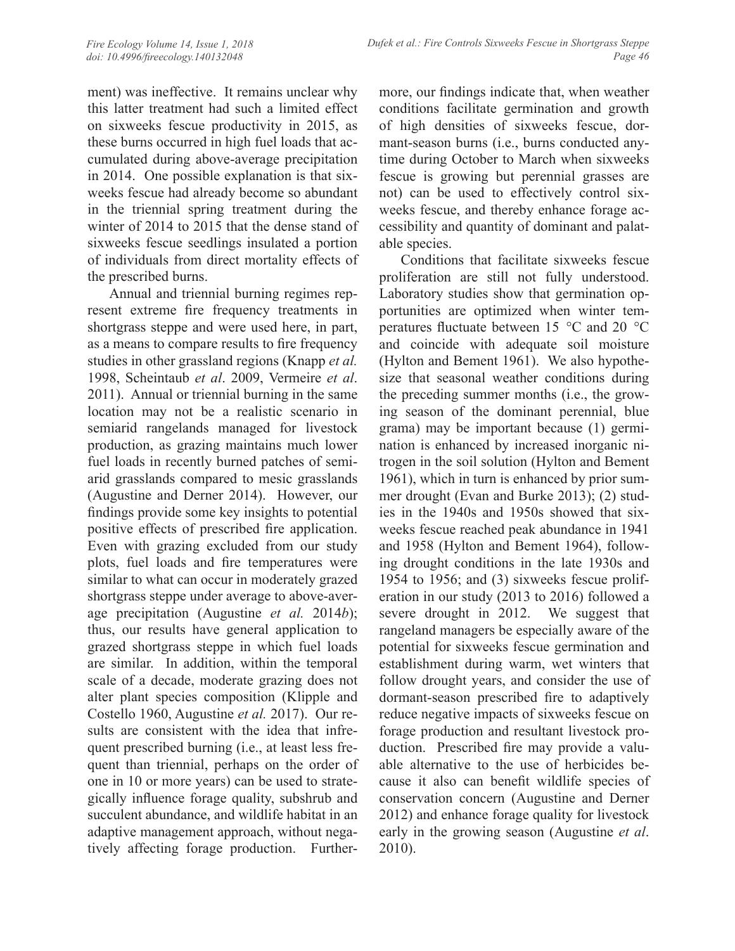ment) was ineffective. It remains unclear why this latter treatment had such a limited effect on sixweeks fescue productivity in 2015, as these burns occurred in high fuel loads that accumulated during above-average precipitation in 2014. One possible explanation is that sixweeks fescue had already become so abundant in the triennial spring treatment during the winter of 2014 to 2015 that the dense stand of sixweeks fescue seedlings insulated a portion of individuals from direct mortality effects of the prescribed burns.

Annual and triennial burning regimes represent extreme fire frequency treatments in shortgrass steppe and were used here, in part, as a means to compare results to fire frequency studies in other grassland regions (Knapp *et al.* 1998, Scheintaub *et al*. 2009, Vermeire *et al*. 2011). Annual or triennial burning in the same location may not be a realistic scenario in semiarid rangelands managed for livestock production, as grazing maintains much lower fuel loads in recently burned patches of semiarid grasslands compared to mesic grasslands (Augustine and Derner 2014). However, our findings provide some key insights to potential positive effects of prescribed fire application. Even with grazing excluded from our study plots, fuel loads and fire temperatures were similar to what can occur in moderately grazed shortgrass steppe under average to above-average precipitation (Augustine *et al.* 2014*b*); thus, our results have general application to grazed shortgrass steppe in which fuel loads are similar. In addition, within the temporal scale of a decade, moderate grazing does not alter plant species composition (Klipple and Costello 1960, Augustine *et al.* 2017). Our results are consistent with the idea that infrequent prescribed burning (i.e., at least less frequent than triennial, perhaps on the order of one in 10 or more years) can be used to strategically influence forage quality, subshrub and succulent abundance, and wildlife habitat in an adaptive management approach, without negatively affecting forage production. Furthermore, our findings indicate that, when weather conditions facilitate germination and growth of high densities of sixweeks fescue, dormant-season burns (i.e., burns conducted anytime during October to March when sixweeks fescue is growing but perennial grasses are not) can be used to effectively control sixweeks fescue, and thereby enhance forage accessibility and quantity of dominant and palatable species.

Conditions that facilitate sixweeks fescue proliferation are still not fully understood. Laboratory studies show that germination opportunities are optimized when winter temperatures fluctuate between 15 °C and 20 °C and coincide with adequate soil moisture (Hylton and Bement 1961). We also hypothesize that seasonal weather conditions during the preceding summer months (i.e., the growing season of the dominant perennial, blue grama) may be important because (1) germination is enhanced by increased inorganic nitrogen in the soil solution (Hylton and Bement 1961), which in turn is enhanced by prior summer drought (Evan and Burke 2013); (2) studies in the 1940s and 1950s showed that sixweeks fescue reached peak abundance in 1941 and 1958 (Hylton and Bement 1964), following drought conditions in the late 1930s and 1954 to 1956; and (3) sixweeks fescue proliferation in our study (2013 to 2016) followed a severe drought in 2012. We suggest that rangeland managers be especially aware of the potential for sixweeks fescue germination and establishment during warm, wet winters that follow drought years, and consider the use of dormant-season prescribed fire to adaptively reduce negative impacts of sixweeks fescue on forage production and resultant livestock production. Prescribed fire may provide a valuable alternative to the use of herbicides because it also can benefit wildlife species of conservation concern (Augustine and Derner 2012) and enhance forage quality for livestock early in the growing season (Augustine *et al*. 2010).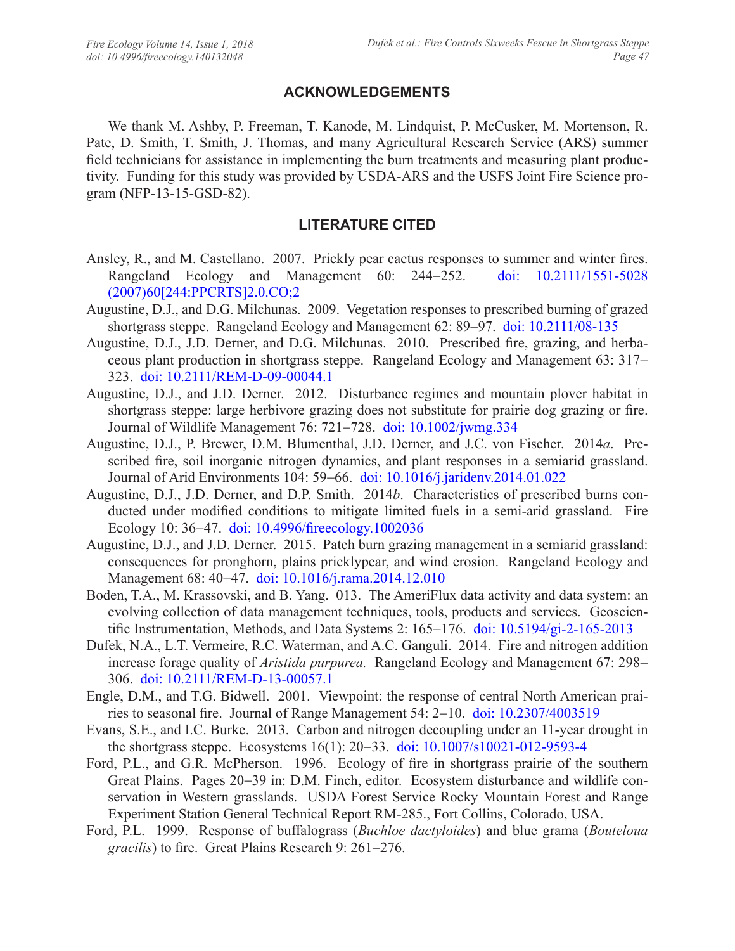# **ACKNOWLEDGEMENTS**

We thank M. Ashby, P. Freeman, T. Kanode, M. Lindquist, P. McCusker, M. Mortenson, R. Pate, D. Smith, T. Smith, J. Thomas, and many Agricultural Research Service (ARS) summer field technicians for assistance in implementing the burn treatments and measuring plant productivity. Funding for this study was provided by USDA-ARS and the USFS Joint Fire Science program (NFP-13-15-GSD-82).

# **LITERATURE CITED**

- Ansley, R., and M. Castellano. 2007. Prickly pear cactus responses to summer and winter fires. Rangeland Ecology and Management 60: 244-252. [doi: 10.2111/1551-5028](https://doi.org/10.2111/1551-5028(2007)60%5b244:PPCRTS%5d2.0.CO;2) [\(2007\)60\[244:PPCRTS\]2.0.CO;2](https://doi.org/10.2111/1551-5028(2007)60%5b244:PPCRTS%5d2.0.CO;2)
- Augustine, D.J., and D.G. Milchunas. 2009. Vegetation responses to prescribed burning of grazed shortgrass steppe. Rangeland Ecology and Management 62: 89–97. [doi: 10.2111/08-135](https://doi.org/10.2111/08-135)
- Augustine, D.J., J.D. Derner, and D.G. Milchunas. 2010. Prescribed fire, grazing, and herbaceous plant production in shortgrass steppe. Rangeland Ecology and Management 63: 317- 323. [doi: 10.2111/REM-D-09-00044.1](https://doi.org/10.2111/REM-D-09-00044.1)
- Augustine, D.J., and J.D. Derner. 2012. Disturbance regimes and mountain plover habitat in shortgrass steppe: large herbivore grazing does not substitute for prairie dog grazing or fire. Journal of Wildlife Management 76: 721-728. [doi: 10.1002/jwmg.334](https://doi.org/10.1002/jwmg.334)
- Augustine, D.J., P. Brewer, D.M. Blumenthal, J.D. Derner, and J.C. von Fischer. 2014*a*. Prescribed fire, soil inorganic nitrogen dynamics, and plant responses in a semiarid grassland. Journal of Arid Environments 104: 59-66. [doi: 10.1016/j.jaridenv.2014.01.022](https://doi.org/10.1016/j.jaridenv.2014.01.022)
- Augustine, D.J., J.D. Derner, and D.P. Smith. 2014*b*. Characteristics of prescribed burns conducted under modified conditions to mitigate limited fuels in a semi-arid grassland. Fire Ecology 10: 36-47. [doi: 10.4996/fireecology.1002036](https://doi.org/10.4996/fireecology.1002036)
- Augustine, D.J., and J.D. Derner. 2015. Patch burn grazing management in a semiarid grassland: consequences for pronghorn, plains pricklypear, and wind erosion. Rangeland Ecology and Management 68: 40-47. [doi: 10.1016/j.rama.2014.12.010](https://doi.org/10.1016/j.rama.2014.12.010)
- Boden, T.A., M. Krassovski, and B. Yang. 013. The AmeriFlux data activity and data system: an evolving collection of data management techniques, tools, products and services. Geoscientific Instrumentation, Methods, and Data Systems 2: 165-176. [doi: 10.5194/gi-2-165-2013](https://doi.org/10.5194/gi-2-165-2013)
- Dufek, N.A., L.T. Vermeire, R.C. Waterman, and A.C. Ganguli. 2014. Fire and nitrogen addition increase forage quality of *Aristida purpurea.* Rangeland Ecology and Management 67: 298- 306. [doi: 10.2111/REM-D-13-00057.1](https://doi.org/10.2111/REM-D-13-00057.1)
- Engle, D.M., and T.G. Bidwell. 2001. Viewpoint: the response of central North American prairies to seasonal fire. Journal of Range Management 54: 2-10. [doi: 10.2307/4003519](https://doi.org/10.2307/4003519)
- Evans, S.E., and I.C. Burke. 2013. Carbon and nitrogen decoupling under an 11-year drought in the shortgrass steppe. Ecosystems 16(1): 20-33. [doi: 10.1007/s10021-012-9593-4](https://doi.org/10.1007/s10021-012-9593-4)
- Ford, P.L., and G.R. McPherson. 1996. Ecology of fire in shortgrass prairie of the southern Great Plains. Pages 20-39 in: D.M. Finch, editor. Ecosystem disturbance and wildlife conservation in Western grasslands. USDA Forest Service Rocky Mountain Forest and Range Experiment Station General Technical Report RM-285., Fort Collins, Colorado, USA.
- Ford, P.L. 1999. Response of buffalograss (*Buchloe dactyloides*) and blue grama (*Bouteloua gracilis*) to fire. Great Plains Research 9: 261-276.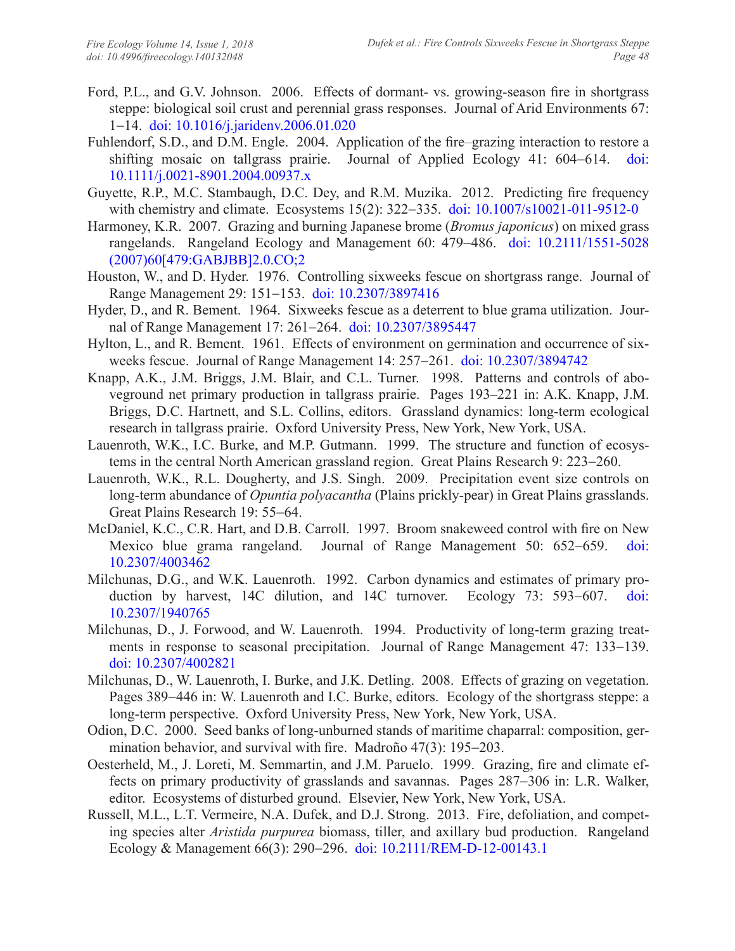- Ford, P.L., and G.V. Johnson. 2006. Effects of dormant- vs. growing-season fire in shortgrass steppe: biological soil crust and perennial grass responses. Journal of Arid Environments 67: 1-14. [doi: 10.1016/j.jaridenv.2006.01.020](https://doi.org/10.1016/j.jaridenv.2006.01.020)
- Fuhlendorf, S.D., and D.M. Engle. 2004. Application of the fire–grazing interaction to restore a shifting mosaic on tallgrass prairie. Journal of Applied Ecology 41: 604-614. [doi:](https://doi.org/10.1111/j.0021-8901.2004.00937.x)  [10.1111/j.0021-8901.2004.00937.x](https://doi.org/10.1111/j.0021-8901.2004.00937.x)
- Guyette, R.P., M.C. Stambaugh, D.C. Dey, and R.M. Muzika. 2012. Predicting fire frequency with chemistry and climate. Ecosystems 15(2): 322-335. [doi: 10.1007/s10021-011-9512-0](https://doi.org/10.1007/s10021-011-9512-0)
- Harmoney, K.R. 2007. Grazing and burning Japanese brome (*Bromus japonicus*) on mixed grass rangelands. Rangeland Ecology and Management 60: 479-486. [doi: 10.2111/1551-5028](https://doi.org/10.2111/1551-5028(2007)60%5b479:GABJBB%5d2.0.CO;2) [\(2007\)60\[479:GABJBB\]2.0.CO;2](https://doi.org/10.2111/1551-5028(2007)60%5b479:GABJBB%5d2.0.CO;2)
- Houston, W., and D. Hyder. 1976. Controlling sixweeks fescue on shortgrass range. Journal of Range Management 29: 151-153. [doi: 10.2307/3897416](https://doi.org/10.2307/3897416)
- Hyder, D., and R. Bement. 1964. Sixweeks fescue as a deterrent to blue grama utilization. Journal of Range Management 17: 261-264. [doi: 10.2307/3895447](https://doi.org/10.2307/3895447)
- Hylton, L., and R. Bement. 1961. Effects of environment on germination and occurrence of sixweeks fescue. Journal of Range Management 14: 257-261. [doi: 10.2307/3894742](https://doi.org/10.2307/3894742)
- Knapp, A.K., J.M. Briggs, J.M. Blair, and C.L. Turner. 1998. Patterns and controls of aboveground net primary production in tallgrass prairie. Pages 193–221 in: A.K. Knapp, J.M. Briggs, D.C. Hartnett, and S.L. Collins, editors. Grassland dynamics: long-term ecological research in tallgrass prairie. Oxford University Press, New York, New York, USA.
- Lauenroth, W.K., I.C. Burke, and M.P. Gutmann. 1999. The structure and function of ecosystems in the central North American grassland region. Great Plains Research 9: 223-260.
- Lauenroth, W.K., R.L. Dougherty, and J.S. Singh. 2009. Precipitation event size controls on long-term abundance of *Opuntia polyacantha* (Plains prickly-pear) in Great Plains grasslands. Great Plains Research 19: 55-64.
- McDaniel, K.C., C.R. Hart, and D.B. Carroll. 1997. Broom snakeweed control with fire on New Mexico blue grama rangeland. Journal of Range Management 50: 652-659. [doi:](https://doi.org/10.2307/4003462)  [10.2307/4003462](https://doi.org/10.2307/4003462)
- Milchunas, D.G., and W.K. Lauenroth. 1992. Carbon dynamics and estimates of primary production by harvest, 14C dilution, and 14C turnover. Ecology 73: 593-607. [doi:](https://doi.org/10.2307/1940765)  [10.2307/1940765](https://doi.org/10.2307/1940765)
- Milchunas, D., J. Forwood, and W. Lauenroth. 1994. Productivity of long-term grazing treatments in response to seasonal precipitation. Journal of Range Management 47: 133-139. [doi: 10.2307/4002821](https://doi.org/10.2307/4002821)
- Milchunas, D., W. Lauenroth, I. Burke, and J.K. Detling. 2008. Effects of grazing on vegetation. Pages 389-446 in: W. Lauenroth and I.C. Burke, editors. Ecology of the shortgrass steppe: a long-term perspective. Oxford University Press, New York, New York, USA.
- Odion, D.C. 2000. Seed banks of long-unburned stands of maritime chaparral: composition, germination behavior, and survival with fire. Madroño 47(3): 195-203.
- Oesterheld, M., J. Loreti, M. Semmartin, and J.M. Paruelo. 1999. Grazing, fire and climate effects on primary productivity of grasslands and savannas. Pages 287-306 in: L.R. Walker, editor. Ecosystems of disturbed ground. Elsevier, New York, New York, USA.
- Russell, M.L., L.T. Vermeire, N.A. Dufek, and D.J. Strong. 2013. Fire, defoliation, and competing species alter *Aristida purpurea* biomass, tiller, and axillary bud production. Rangeland Ecology & Management 66(3): 290-296. [doi: 10.2111/REM-D-12-00143.1](https://doi.org/10.2111/REM-D-12-00143.1)